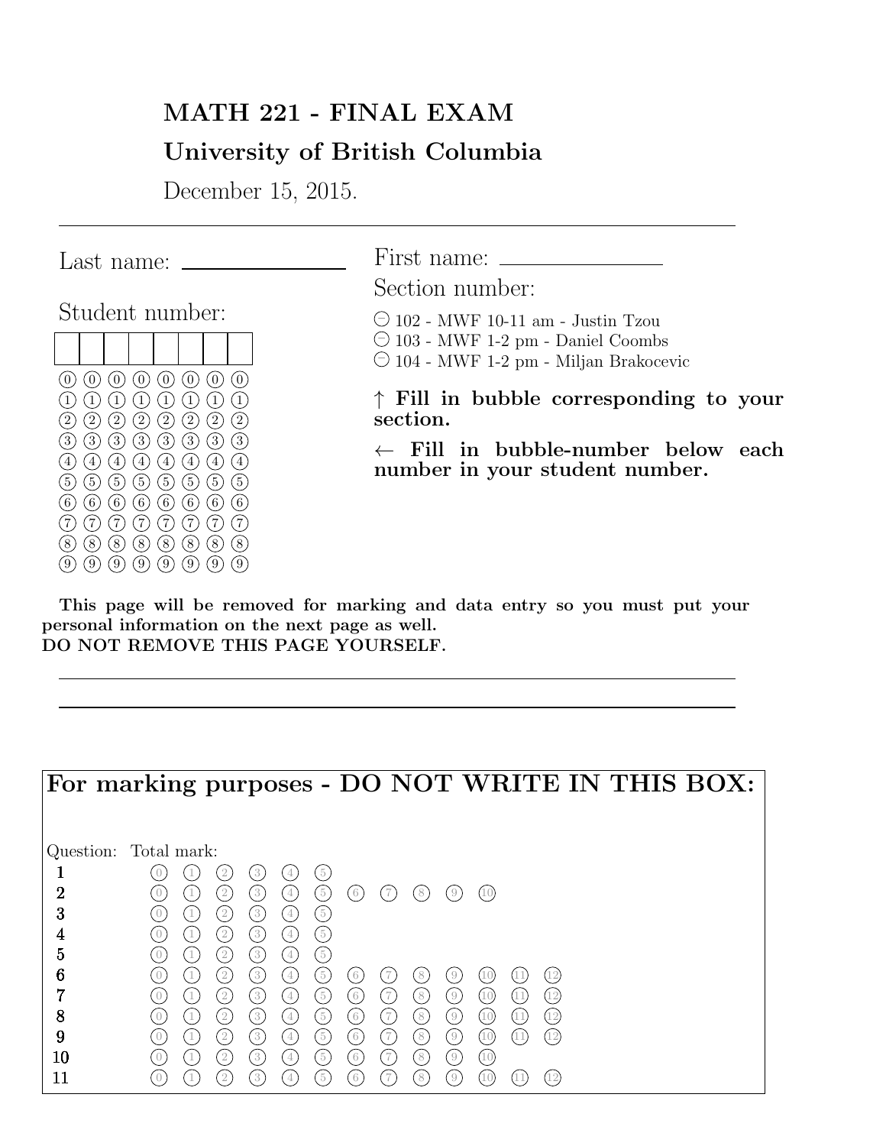# MATH 221 - FINAL EXAM

# University of British Columbia

December 15, 2015.

|                                                  | Last name:                             |                                                                       |                                     |                     |                           |  |
|--------------------------------------------------|----------------------------------------|-----------------------------------------------------------------------|-------------------------------------|---------------------|---------------------------|--|
|                                                  | Student number:                        |                                                                       |                                     |                     |                           |  |
|                                                  |                                        |                                                                       |                                     |                     |                           |  |
| $\boldsymbol{0}$<br>0                            | $\overline{0}$                         | (0)<br>$\left( 0 \right)$                                             | $\left( 0 \right)$                  | $\left( 0 \right)$  | $\tilde{0}$               |  |
| $\overline{2}$<br>2                              | $\mathbf{1}$<br>$\left 2\right\rangle$ | $\mathbf{1}$<br>$\tilde{2}$<br>$\left(2\right)$                       | $\mathbf{1}$<br>1<br>$\overline{2}$ | 1<br>$\overline{2}$ | $\,1\,$<br>$\overline{2}$ |  |
| $\overline{3}$<br>3<br>$\overline{4}$<br>$\,4\,$ | $\left[3\right]$<br>$\overline{4}$     | $\overline{3}$<br>$\left(3\right)$<br>$\frac{1}{4}$<br>$\overline{4}$ | $\overline{3}$<br>$\overline{4}$    | 3<br>4              | $\overline{3}$<br>4       |  |
| $\mathbf 5$<br>5                                 | $\left[5\right]$                       | (5)<br>$\left(5\right)$                                               | $\overline{5}$                      | $\bf 5$             | $\overline{5}$            |  |
| 6<br>6<br>7                                      | 6 <sup>1</sup><br>7                    | (6)<br>$6\phantom{.}6$<br>$\frac{7}{2}$<br>$\tilde{7}$                | $6\phantom{.}6$<br>7                | $\tilde{6}$<br>7    | $6^{\circ}$<br>7          |  |
| 8<br>8                                           | $\left[8\right]$                       | (8)<br>$\left(8\right)$                                               | $\overline{8}$                      | 8                   | 8                         |  |
| 9<br>9                                           | $\left[9\right]$                       | $\left(9\right)$<br>$\left(9\right)$                                  | $\left[9\right]$                    | 9                   | 9                         |  |

First name:

Section number:

 $\odot$  102 - MWF 10-11 am - Justin Tzou

 $\odot$  103 - MWF 1-2 pm - Daniel Coombs

 $\bigcirc$  104 - MWF 1-2 pm - Miljan Brakocevic

↑ Fill in bubble corresponding to your section.

← Fill in bubble-number below each number in your student number.

This page will be removed for marking and data entry so you must put your personal information on the next page as well. DO NOT REMOVE THIS PAGE YOURSELF.

|                       |            |                                      |                                      |                     |                         |                            |         |                                    |                         |            | For marking purposes - DO NOT WRITE IN THIS BOX: |
|-----------------------|------------|--------------------------------------|--------------------------------------|---------------------|-------------------------|----------------------------|---------|------------------------------------|-------------------------|------------|--------------------------------------------------|
| Question: Total mark: |            |                                      |                                      |                     |                         |                            |         |                                    |                         |            |                                                  |
|                       |            | $\overline{2}$                       | 3                                    |                     | $\left(5\right)$        |                            |         |                                    |                         |            |                                                  |
| $\overline{2}$        |            | $\frac{2}{2}$                        | $\left(3\right)$                     | $\overline{4}$      | $\sqrt{5}$              | $6\phantom{.}6$            | 7       | 8                                  | . 9                     | (10)       |                                                  |
| 3<br>4                | $\bigcirc$ | $\left(2\right)$<br>$\left(2\right)$ | (3)<br>$\left(3\right)$              | $\overline{4}$<br>4 | (5)<br>(5)              |                            |         |                                    |                         |            |                                                  |
| 5                     | $\bigcap$  | $\left(2\right)$                     | $\left(3\right)$                     | $4\phantom{.0}$     | (5)                     |                            |         |                                    |                         |            |                                                  |
| 6                     |            | $\left(2\right)$                     | $\sqrt{3}$                           | $\overline{4}$      | $\left(5\right)$        | $6\phantom{.}6$            | 7       | 8                                  | $\overline{0}$          |            | 12                                               |
|                       |            | $\left(2\right)$                     | $\left(3\right)$                     | 4                   | $\sqrt{5}$              | $\left(6\right)$           | (7      | 8 <sup>8</sup>                     | $\left(9\right)$        | (10)       | $\frac{12}{2}$                                   |
| 8                     |            | $\left(2\right)$                     | $\left(3\right)$                     | $\overline{4}$      | (5)                     | $\left(6\right)$           | (7      | 8                                  | (9)                     | (10)       | (12)                                             |
| 9<br>10               | $\bigcap$  | $\left(2\right)$<br>$\frac{2}{2}$    | $\left(3\right)$<br>$\left(3\right)$ | $\overline{4}$<br>4 | $\left(5\right)$<br>(5) | $6 \,$<br>$\left(6\right)$ | 7<br>(7 | 8 <sup>1</sup><br>$\left(8\right)$ | (9)<br>$\left(9\right)$ | (10)<br>10 | $\overline{12}$                                  |
| 11                    |            | -2                                   | 3                                    |                     | $\frac{5}{2}$           | 6                          |         | 8                                  | 9                       |            | (12                                              |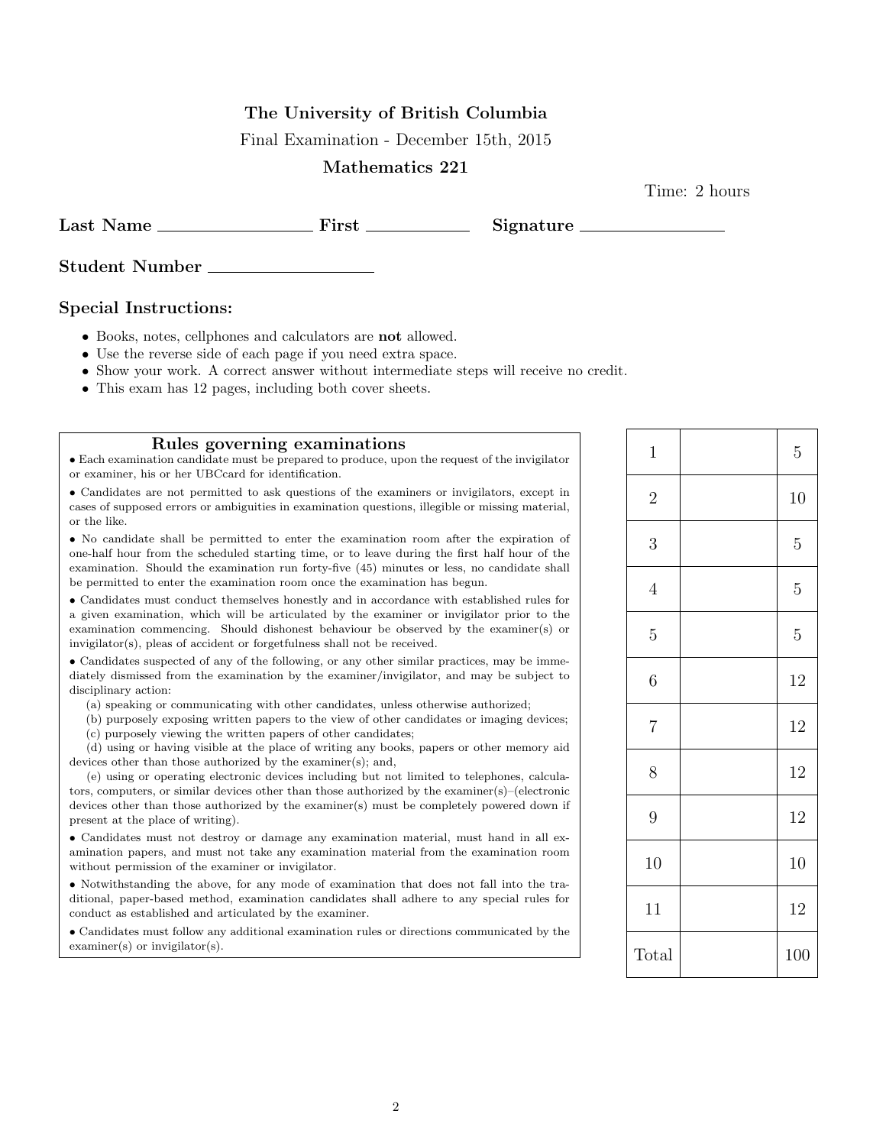## The University of British Columbia

Final Examination - December 15th, 2015

#### Mathematics 221

Time: 2 hours

Last Name First Signature

Student Number

#### Special Instructions:

- Books, notes, cellphones and calculators are not allowed.
- Use the reverse side of each page if you need extra space.
- Show your work. A correct answer without intermediate steps will receive no credit.
- This exam has 12 pages, including both cover sheets.

#### Rules governing examinations

• Each examination candidate must be prepared to produce, upon the request of the invigilator or examiner, his or her UBCcard for identification.

• Candidates are not permitted to ask questions of the examiners or invigilators, except in cases of supposed errors or ambiguities in examination questions, illegible or missing material, or the like.

• No candidate shall be permitted to enter the examination room after the expiration of one-half hour from the scheduled starting time, or to leave during the first half hour of the examination. Should the examination run forty-five (45) minutes or less, no candidate shall be permitted to enter the examination room once the examination has begun.

• Candidates must conduct themselves honestly and in accordance with established rules for a given examination, which will be articulated by the examiner or invigilator prior to the examination commencing. Should dishonest behaviour be observed by the examiner(s) or invigilator(s), pleas of accident or forgetfulness shall not be received.

• Candidates suspected of any of the following, or any other similar practices, may be immediately dismissed from the examination by the examiner/invigilator, and may be subject to disciplinary action:

(a) speaking or communicating with other candidates, unless otherwise authorized;

(b) purposely exposing written papers to the view of other candidates or imaging devices; (c) purposely viewing the written papers of other candidates;

(d) using or having visible at the place of writing any books, papers or other memory aid devices other than those authorized by the examiner(s); and,

(e) using or operating electronic devices including but not limited to telephones, calculators, computers, or similar devices other than those authorized by the examiner(s)–(electronic devices other than those authorized by the examiner(s) must be completely powered down if present at the place of writing).

• Candidates must not destroy or damage any examination material, must hand in all examination papers, and must not take any examination material from the examination room without permission of the examiner or invigilator.

• Notwithstanding the above, for any mode of examination that does not fall into the traditional, paper-based method, examination candidates shall adhere to any special rules for conduct as established and articulated by the examiner.

• Candidates must follow any additional examination rules or directions communicated by the examiner(s) or invigilator(s).

| $\mathbf{1}$   | $\overline{5}$ |
|----------------|----------------|
| $\sqrt{2}$     | 10             |
| 3              | $\overline{5}$ |
| $\overline{4}$ | $\overline{5}$ |
| $\overline{5}$ | $\overline{5}$ |
| 6              | 12             |
| $\overline{7}$ | 12             |
| 8              | 12             |
| 9              | 12             |
| 10             | 10             |
| 11             | 12             |
| Total          | 100            |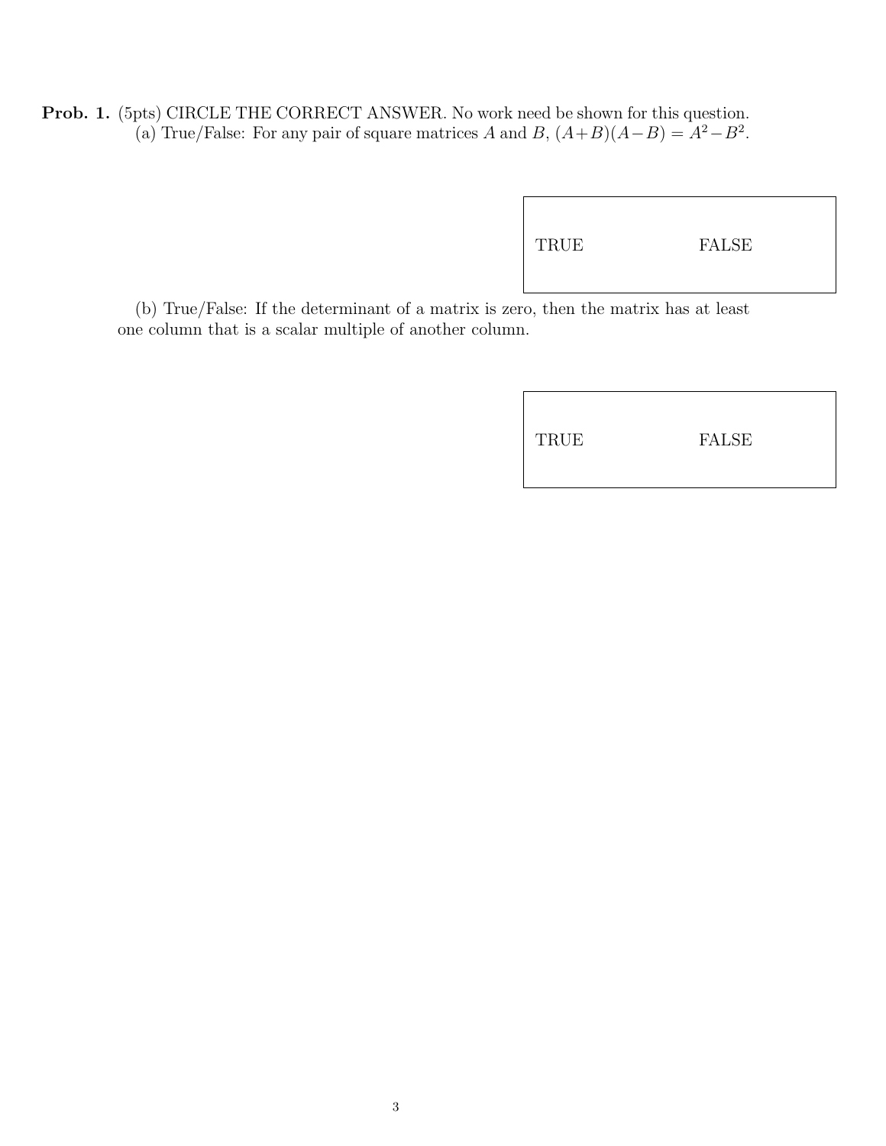Prob. 1. (5pts) CIRCLE THE CORRECT ANSWER. No work need be shown for this question. (a) True/False: For any pair of square matrices A and B,  $(A+B)(A-B) = A^2 - B^2$ .

|--|

(b) True/False: If the determinant of a matrix is zero, then the matrix has at least one column that is a scalar multiple of another column.

| TRUE | FALSE |  |
|------|-------|--|
|------|-------|--|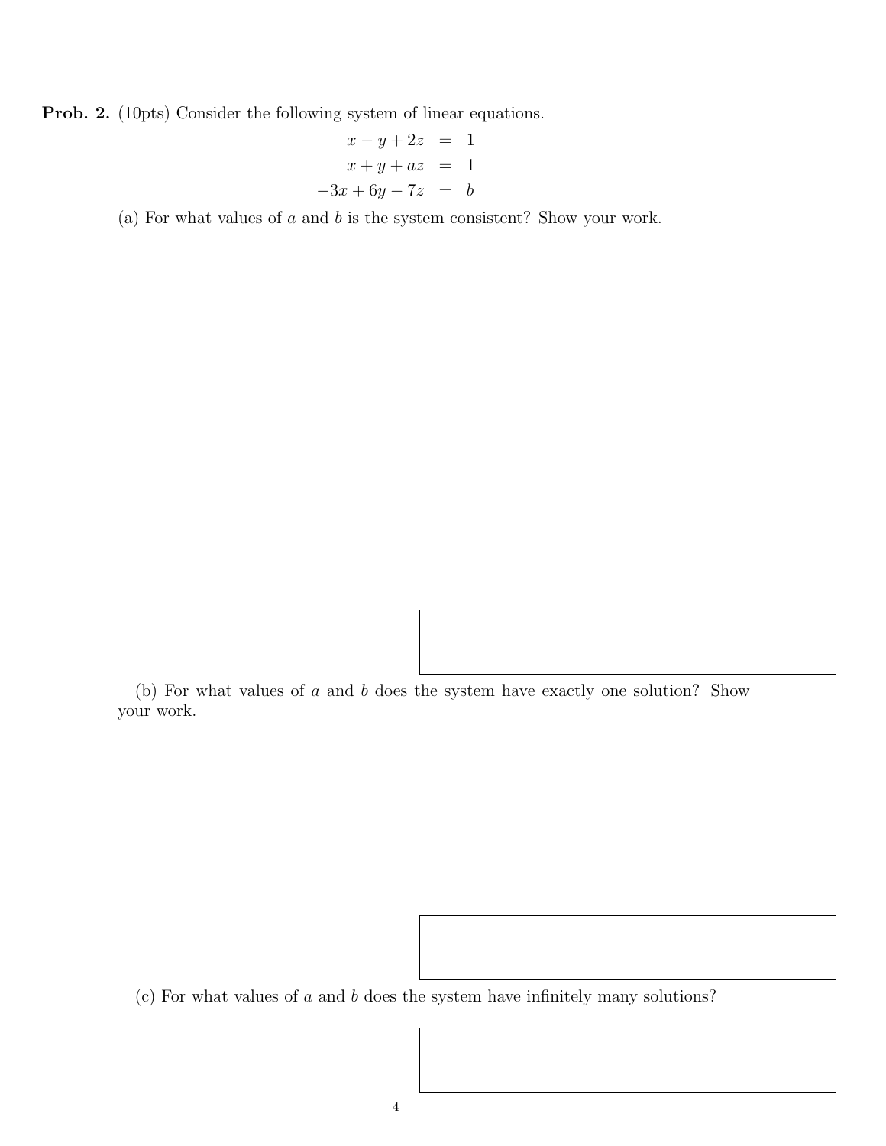Prob. 2. (10pts) Consider the following system of linear equations.

$$
x-y+2z = 1
$$
  

$$
x+y+az = 1
$$
  

$$
-3x+6y-7z = b
$$

(a) For what values of  $a$  and  $b$  is the system consistent? Show your work.

(b) For what values of a and b does the system have exactly one solution? Show your work.

(c) For what values of a and b does the system have infinitely many solutions?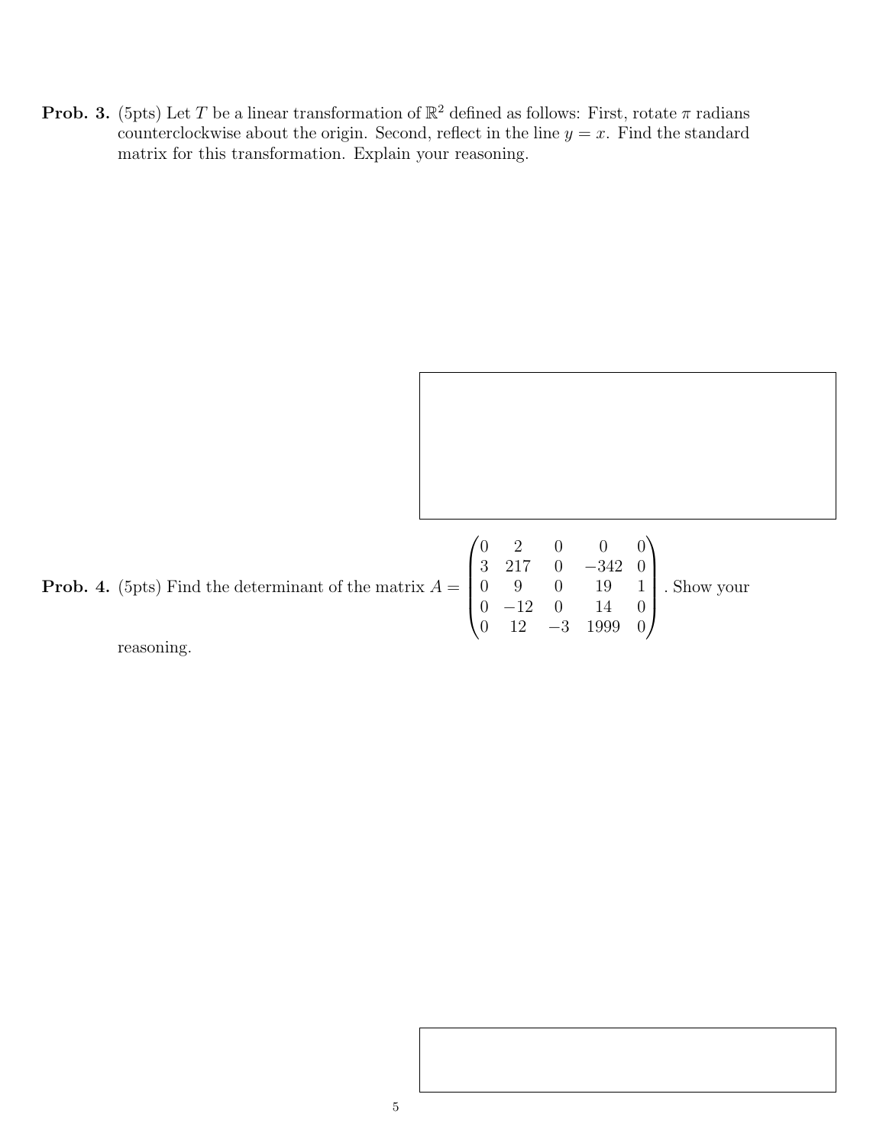**Prob. 3.** (5pts) Let T be a linear transformation of  $\mathbb{R}^2$  defined as follows: First, rotate  $\pi$  radians counterclockwise about the origin. Second, reflect in the line  $y = x$ . Find the standard matrix for this transformation. Explain your reasoning.

**Prob. 4.** (5pts) Find the determinant of the matrix  $A =$  $\sqrt{ }$  0 2 0 0 0 3 217 0 −342 0 0 9 0 19 1 0 −12 0 14 0 0 12 −3 1999 0  $\setminus$  $\begin{array}{c} \hline \end{array}$ . Show your

reasoning.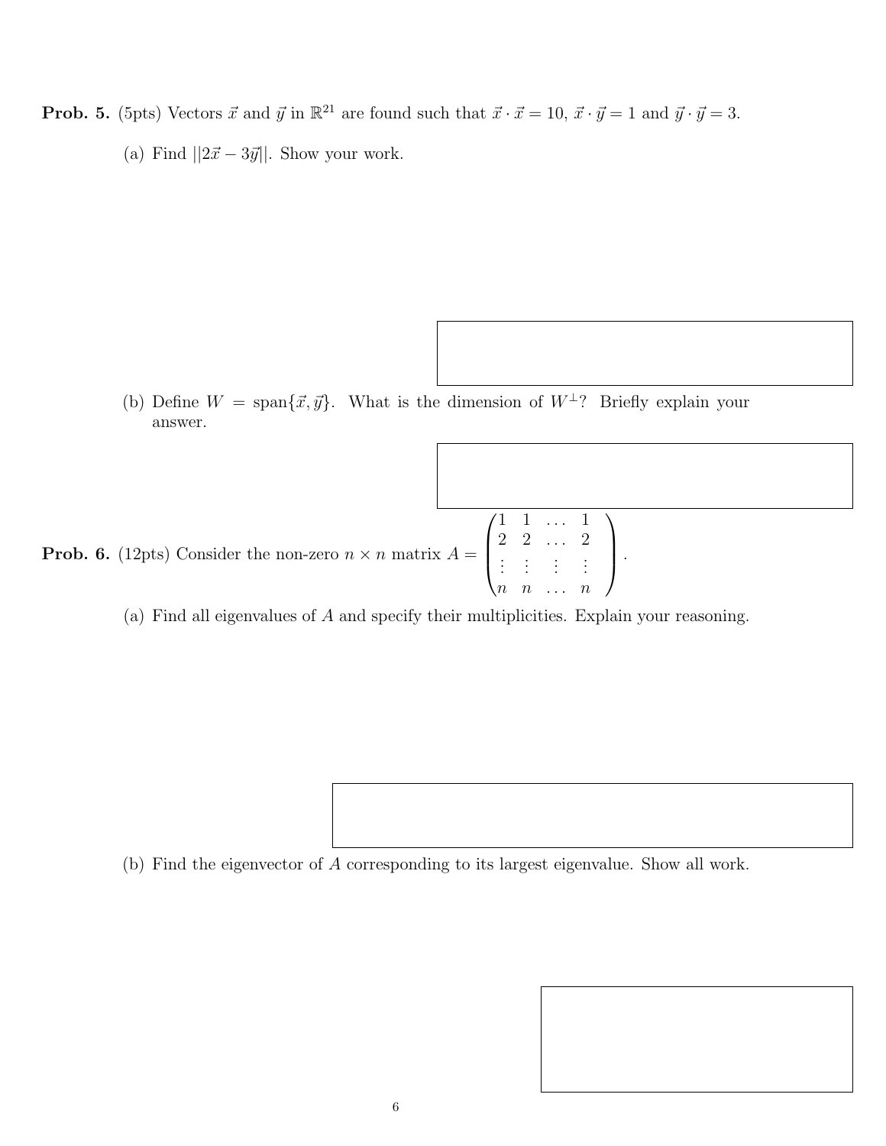- **Prob. 5.** (5pts) Vectors  $\vec{x}$  and  $\vec{y}$  in  $\mathbb{R}^{21}$  are found such that  $\vec{x} \cdot \vec{x} = 10$ ,  $\vec{x} \cdot \vec{y} = 1$  and  $\vec{y} \cdot \vec{y} = 3$ .
	- (a) Find  $||2\vec{x} 3\vec{y}||.$  Show your work.

(b) Define  $W = \text{span}\{\vec{x}, \vec{y}\}\$ . What is the dimension of  $W^{\perp}$ ? Briefly explain your answer.

**Prob. 6.** (12pts) Consider the non-zero  $n \times n$  matrix  $A =$  $\sqrt{ }$  $\vert$ 1 1 . . . 1 2 2 . . . 2 .<br>. . . .  $n \quad n \quad \dots \quad n$  $\setminus$  $\Bigg\}$ 

(a) Find all eigenvalues of A and specify their multiplicities. Explain your reasoning.

(b) Find the eigenvector of A corresponding to its largest eigenvalue. Show all work.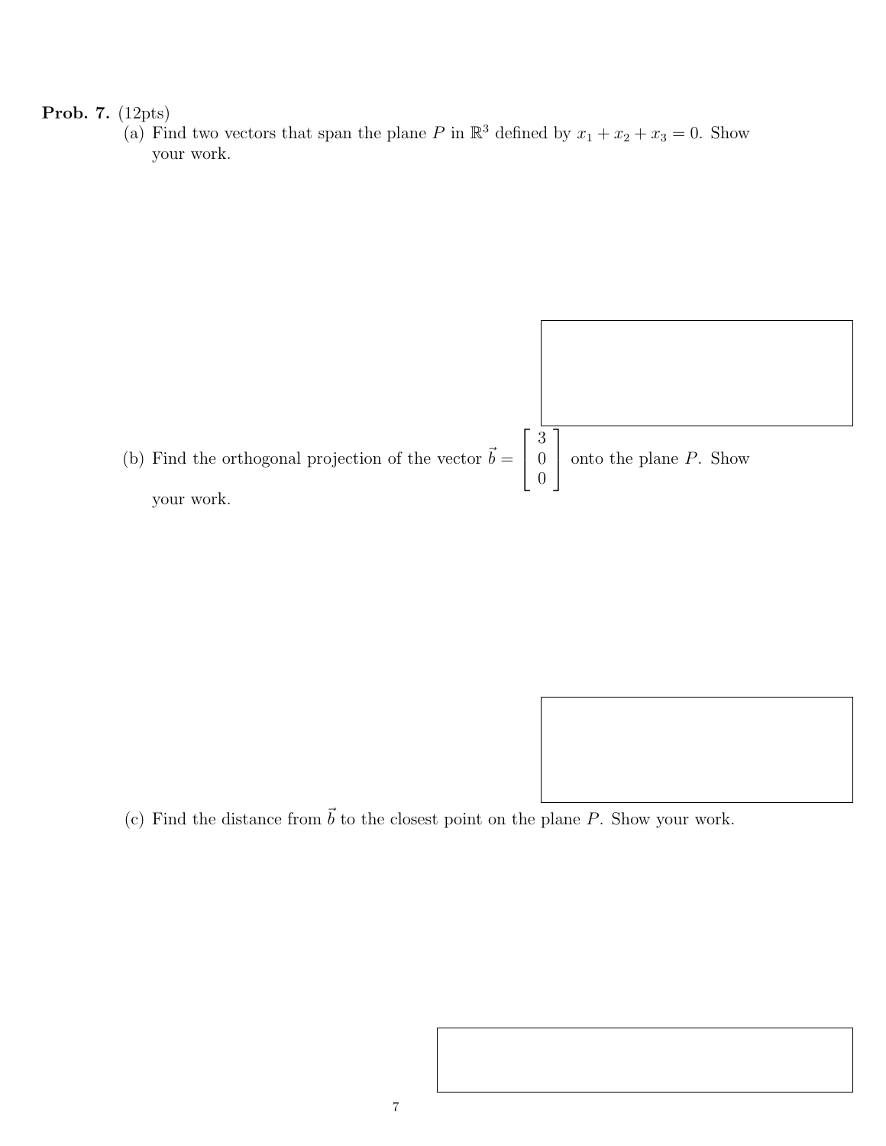## Prob. 7. (12pts)

(a) Find two vectors that span the plane P in  $\mathbb{R}^3$  defined by  $x_1 + x_2 + x_3 = 0$ . Show your work.



(c) Find the distance from  $\vec{b}$  to the closest point on the plane P. Show your work.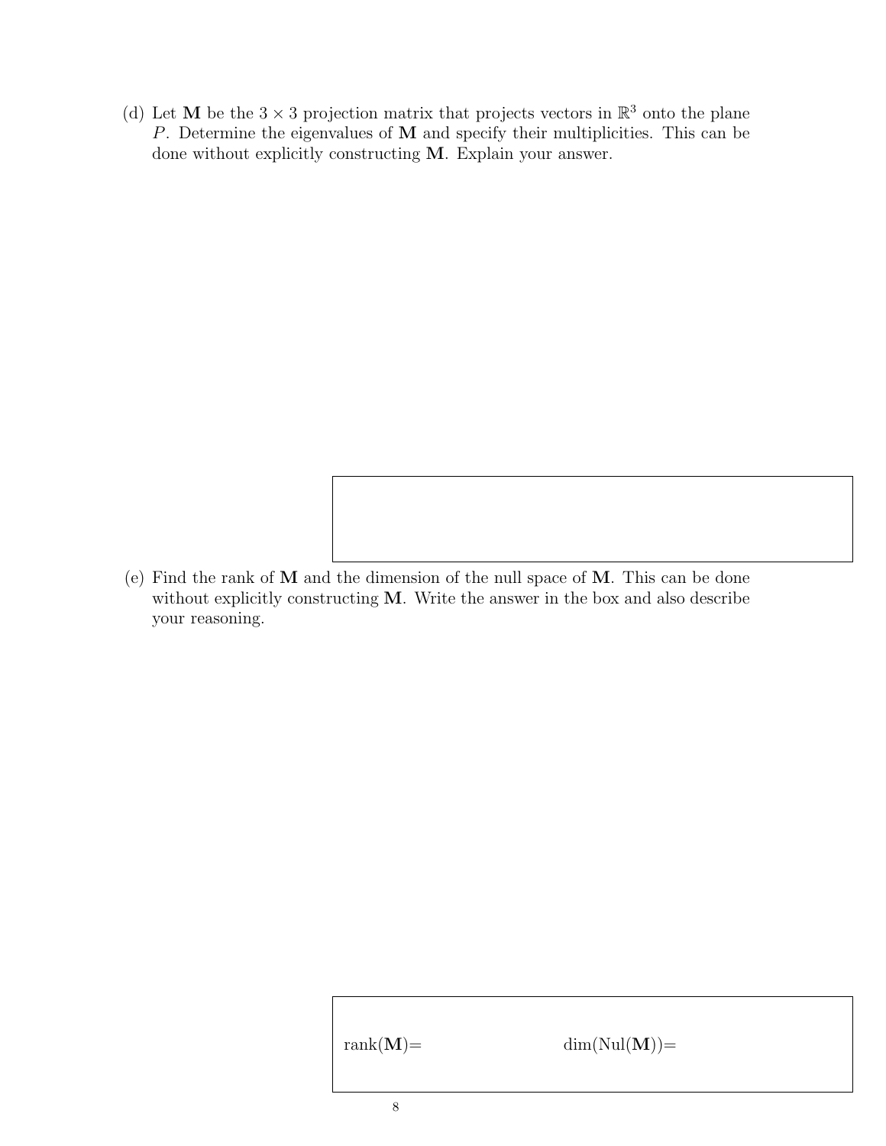(d) Let M be the  $3 \times 3$  projection matrix that projects vectors in  $\mathbb{R}^3$  onto the plane P. Determine the eigenvalues of M and specify their multiplicities. This can be done without explicitly constructing M. Explain your answer.

(e) Find the rank of M and the dimension of the null space of M. This can be done without explicitly constructing M. Write the answer in the box and also describe your reasoning.

rank $(M)$ = dim $(Nul(M))$ =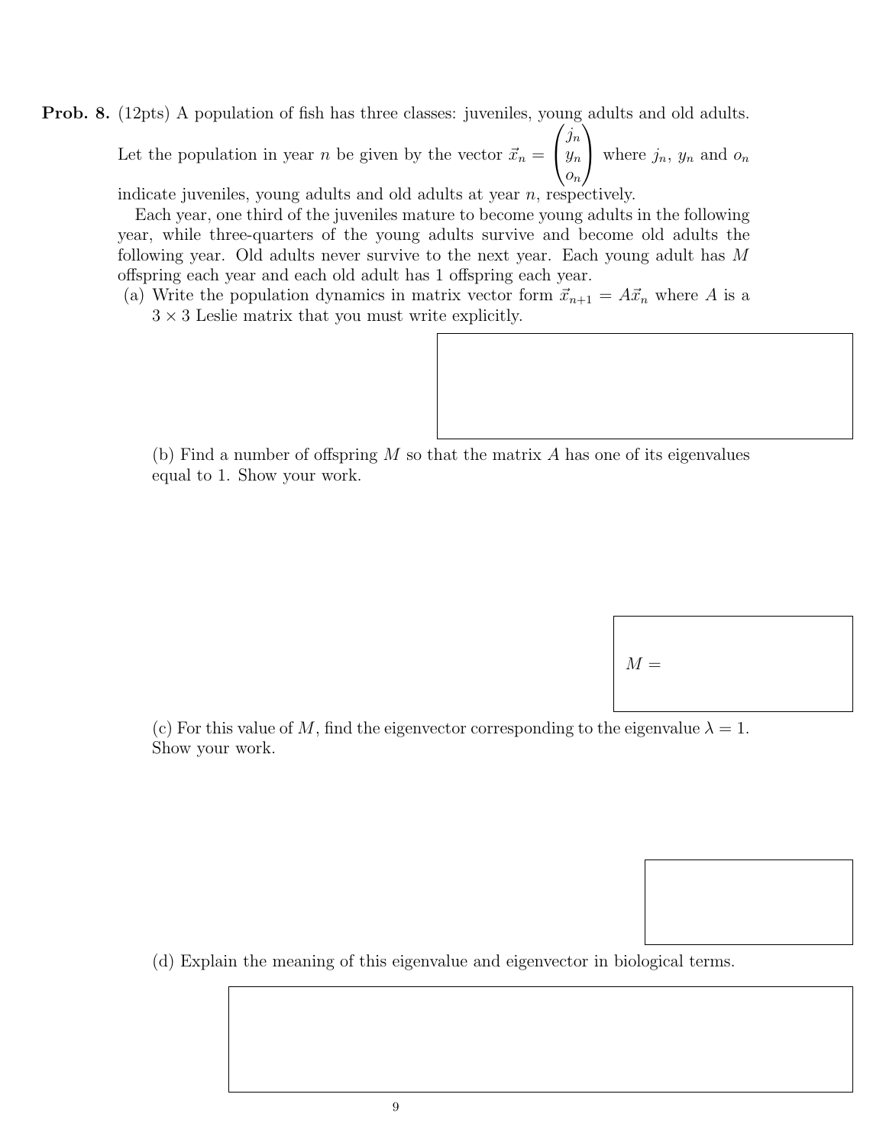Prob. 8. (12pts) A population of fish has three classes: juveniles, young adults and old adults.

Let the population in year *n* be given by the vector  $\vec{x}_n =$  $\sqrt{ }$  $\overline{1}$  $\mathfrak{j}_n$  $y_n$  $\overline{o}_n$  $\setminus$ where  $j_n$ ,  $y_n$  and  $o_n$ 

indicate juveniles, young adults and old adults at year n, respectively.

Each year, one third of the juveniles mature to become young adults in the following year, while three-quarters of the young adults survive and become old adults the following year. Old adults never survive to the next year. Each young adult has M offspring each year and each old adult has 1 offspring each year.

(a) Write the population dynamics in matrix vector form  $\vec{x}_{n+1} = A\vec{x}_n$  where A is a  $3\times 3$  Leslie matrix that you must write explicitly.

(b) Find a number of offspring  $M$  so that the matrix  $A$  has one of its eigenvalues equal to 1. Show your work.

 $M =$ 

(c) For this value of M, find the eigenvector corresponding to the eigenvalue  $\lambda = 1$ . Show your work.

(d) Explain the meaning of this eigenvalue and eigenvector in biological terms.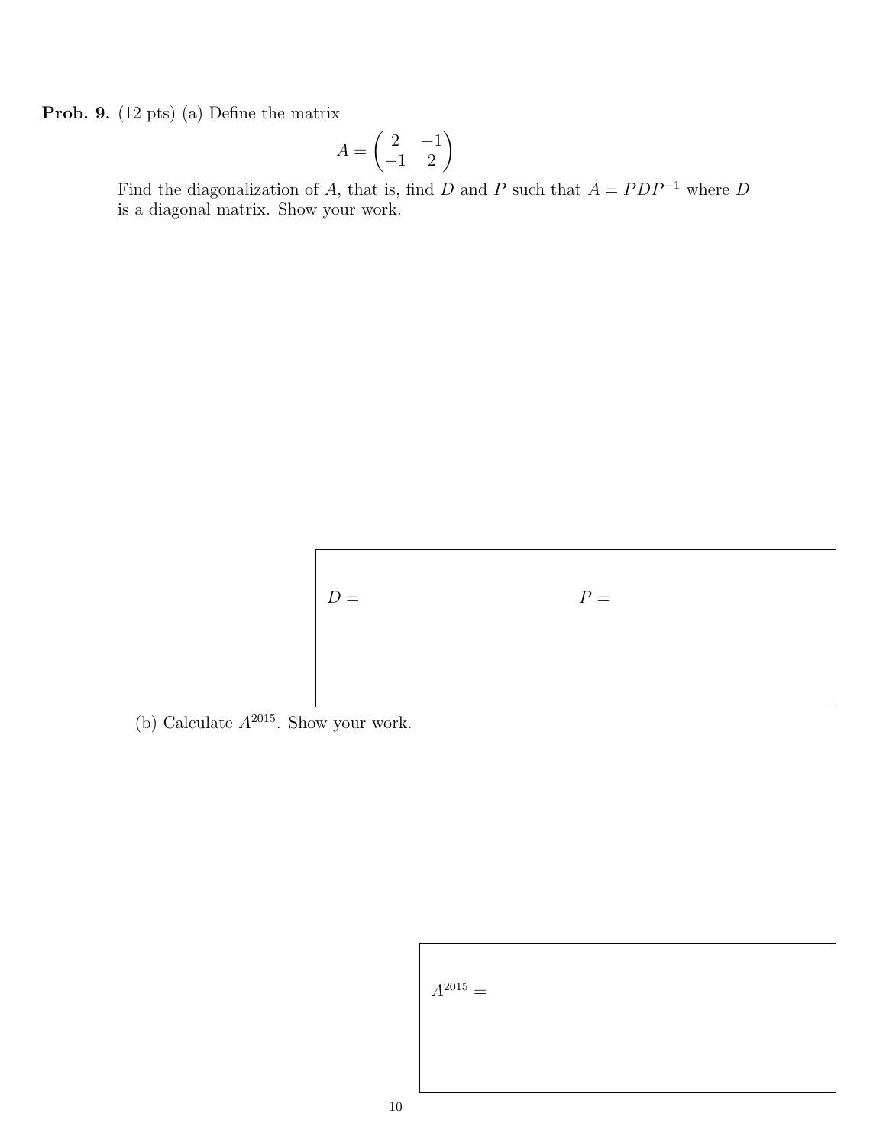Prob. 9. (12 pts) (a) Define the matrix

$$
A = \begin{pmatrix} 2 & -1 \\ -1 & 2 \end{pmatrix}
$$

Find the diagonalization of A, that is, find D and P such that  $A = PDP^{-1}$  where D is a diagonal matrix. Show your work.



(b) Calculate  $A^{2015}$ . Show your work.

$$
A^{2015} =
$$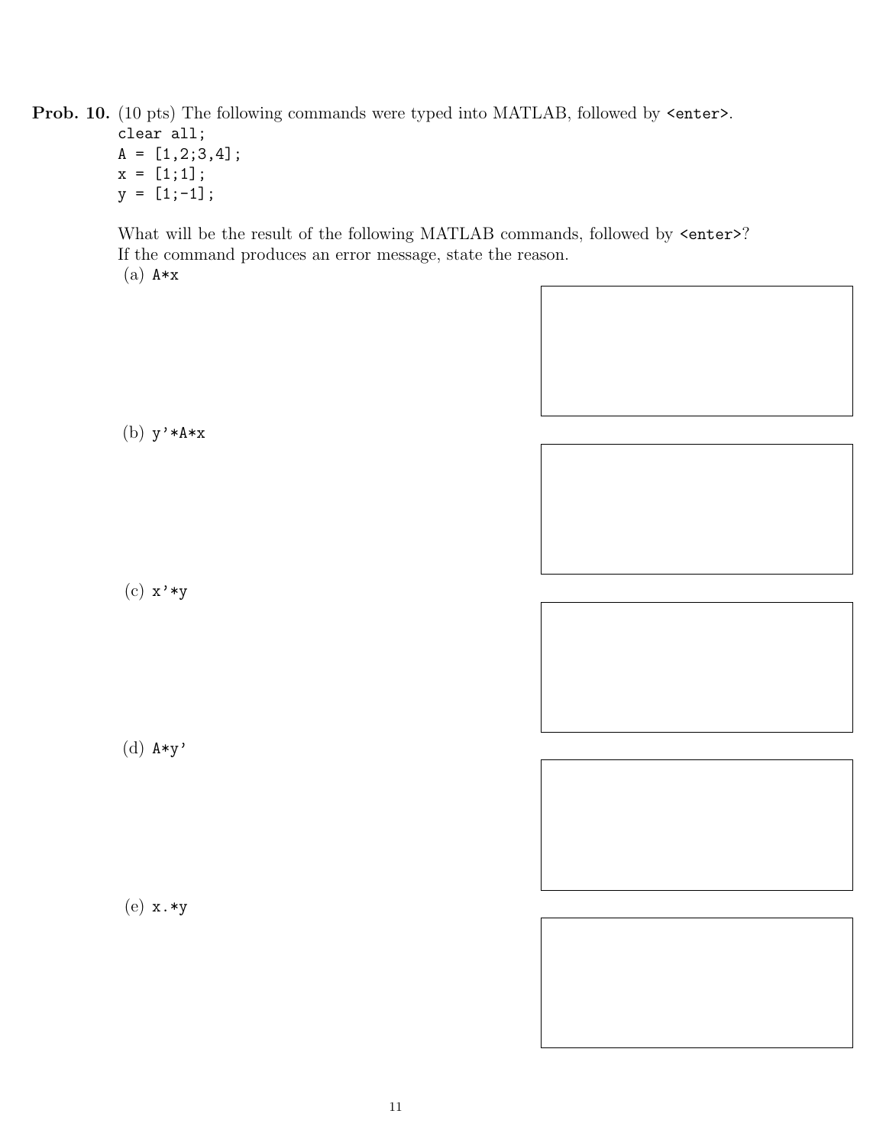Prob. 10. (10 pts) The following commands were typed into MATLAB, followed by  $\leq$ nter>.

clear all;  $A = [1, 2; 3, 4];$  $x = [1;1];$  $y = [1;-1];$ 

What will be the result of the following MATLAB commands, followed by  $\leq$ nter>? If the command produces an error message, state the reason.  $(a)$   $A \ast x$ 

(b) y'\*A\*x

(c) x'\*y

(d) A\*y'

(e) x.\*y